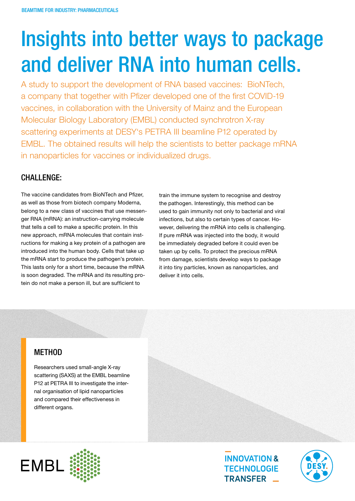# Insights into better ways to package and deliver RNA into human cells.

A study to support the development of RNA based vaccines: BioNTech, a company that together with Pfizer developed one of the first COVID-19 vaccines, in collaboration with the University of Mainz and the European Molecular Biology Laboratory (EMBL) conducted synchrotron X-ray scattering experiments at DESY's PETRA III beamline P12 operated by EMBL. The obtained results will help the scientists to better package mRNA in nanoparticles for vaccines or individualized drugs.

### CHALLENGE:

The vaccine candidates from BioNTech and Pfizer, as well as those from biotech company Moderna, belong to a new class of vaccines that use messenger RNA (mRNA): an instruction-carrying molecule that tells a cell to make a specific protein. In this new approach, mRNA molecules that contain instructions for making a key protein of a pathogen are introduced into the human body. Cells that take up the mRNA start to produce the pathogen's protein. This lasts only for a short time, because the mRNA is soon degraded. The mRNA and its resulting protein do not make a person ill, but are sufficient to

train the immune system to recognise and destroy the pathogen. Interestingly, this method can be used to gain immunity not only to bacterial and viral infections, but also to certain types of cancer. However, delivering the mRNA into cells is challenging. If pure mRNA was injected into the body, it would be immediately degraded before it could even be taken up by cells. To protect the precious mRNA from damage, scientists develop ways to package it into tiny particles, known as nanoparticles, and deliver it into cells.

## **METHOD**

Researchers used small-angle X-ray scattering (SAXS) at the EMBL beamline P12 at PETRA III to investigate the internal organisation of lipid nanoparticles and compared their effectiveness in different organs.





**INNOVATION & TECHNOLOGIE** TRANSFER \_